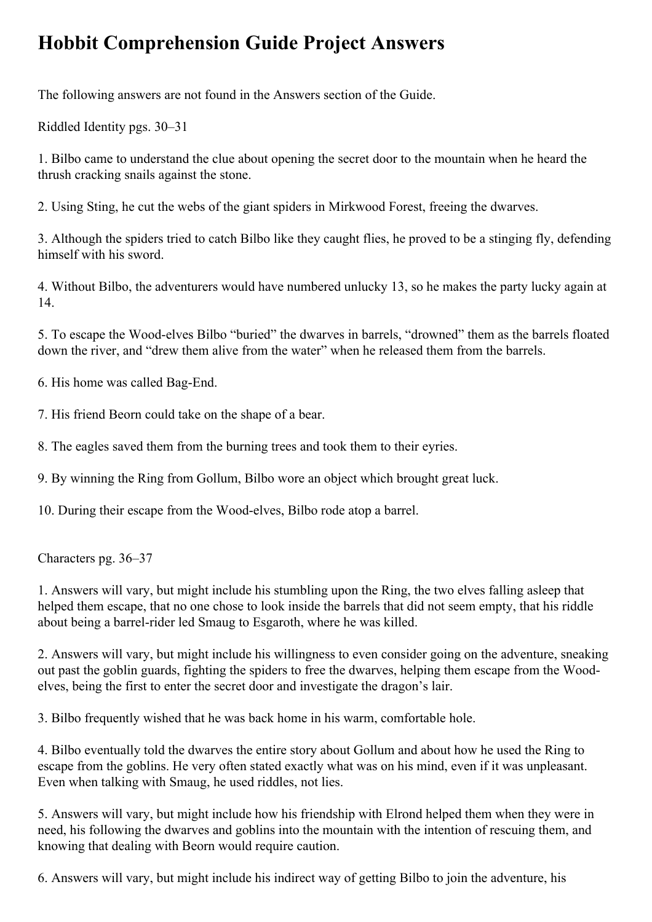## **Hobbit Comprehension Guide Project Answers**

The following answers are not found in the Answers section of the Guide.

Riddled Identity pgs. 30–31

1. Bilbo came to understand the clue about opening the secret door to the mountain when he heard the thrush cracking snails against the stone.

2. Using Sting, he cut the webs of the giant spiders in Mirkwood Forest, freeing the dwarves.

3. Although the spiders tried to catch Bilbo like they caught flies, he proved to be a stinging fly, defending himself with his sword.

4. Without Bilbo, the adventurers would have numbered unlucky 13, so he makes the party lucky again at 14.

5. To escape the Wood-elves Bilbo "buried" the dwarves in barrels, "drowned" them as the barrels floated down the river, and "drew them alive from the water" when he released them from the barrels.

6. His home was called Bag-End.

7. His friend Beorn could take on the shape of a bear.

8. The eagles saved them from the burning trees and took them to their eyries.

9. By winning the Ring from Gollum, Bilbo wore an object which brought great luck.

10. During their escape from the Wood-elves, Bilbo rode atop a barrel.

Characters pg. 36–37

1. Answers will vary, but might include his stumbling upon the Ring, the two elves falling asleep that helped them escape, that no one chose to look inside the barrels that did not seem empty, that his riddle about being a barrel-rider led Smaug to Esgaroth, where he was killed.

2. Answers will vary, but might include his willingness to even consider going on the adventure, sneaking out past the goblin guards, fighting the spiders to free the dwarves, helping them escape from the Woodelves, being the first to enter the secret door and investigate the dragon's lair.

3. Bilbo frequently wished that he was back home in his warm, comfortable hole.

4. Bilbo eventually told the dwarves the entire story about Gollum and about how he used the Ring to escape from the goblins. He very often stated exactly what was on his mind, even if it was unpleasant. Even when talking with Smaug, he used riddles, not lies.

5. Answers will vary, but might include how his friendship with Elrond helped them when they were in need, his following the dwarves and goblins into the mountain with the intention of rescuing them, and knowing that dealing with Beorn would require caution.

6. Answers will vary, but might include his indirect way of getting Bilbo to join the adventure, his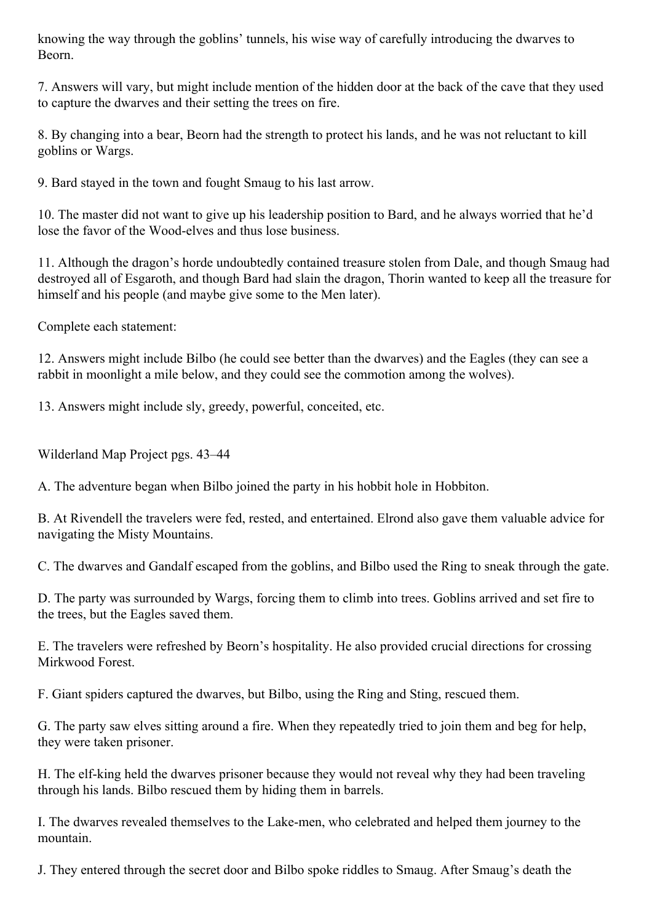knowing the way through the goblins' tunnels, his wise way of carefully introducing the dwarves to Beorn.

7. Answers will vary, but might include mention of the hidden door at the back of the cave that they used to capture the dwarves and their setting the trees on fire.

8. By changing into a bear, Beorn had the strength to protect his lands, and he was not reluctant to kill goblins or Wargs.

9. Bard stayed in the town and fought Smaug to his last arrow.

10. The master did not want to give up his leadership position to Bard, and he always worried that he'd lose the favor of the Wood-elves and thus lose business.

11. Although the dragon's horde undoubtedly contained treasure stolen from Dale, and though Smaug had destroyed all of Esgaroth, and though Bard had slain the dragon, Thorin wanted to keep all the treasure for himself and his people (and maybe give some to the Men later).

Complete each statement:

12. Answers might include Bilbo (he could see better than the dwarves) and the Eagles (they can see a rabbit in moonlight a mile below, and they could see the commotion among the wolves).

13. Answers might include sly, greedy, powerful, conceited, etc.

Wilderland Map Project pgs. 43–44

A. The adventure began when Bilbo joined the party in his hobbit hole in Hobbiton.

B. At Rivendell the travelers were fed, rested, and entertained. Elrond also gave them valuable advice for navigating the Misty Mountains.

C. The dwarves and Gandalf escaped from the goblins, and Bilbo used the Ring to sneak through the gate.

D. The party was surrounded by Wargs, forcing them to climb into trees. Goblins arrived and set fire to the trees, but the Eagles saved them.

E. The travelers were refreshed by Beorn's hospitality. He also provided crucial directions for crossing Mirkwood Forest.

F. Giant spiders captured the dwarves, but Bilbo, using the Ring and Sting, rescued them.

G. The party saw elves sitting around a fire. When they repeatedly tried to join them and beg for help, they were taken prisoner.

H. The elf-king held the dwarves prisoner because they would not reveal why they had been traveling through his lands. Bilbo rescued them by hiding them in barrels.

I. The dwarves revealed themselves to the Lake-men, who celebrated and helped them journey to the mountain.

J. They entered through the secret door and Bilbo spoke riddles to Smaug. After Smaug's death the